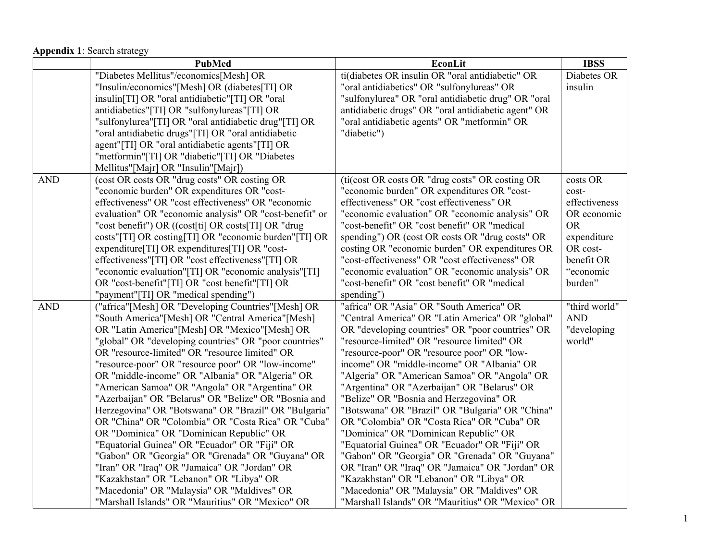## **Appendix 1**: Search strategy

|                    | <b>PubMed</b>                                           | <b>EconLit</b>                                      | <b>IBSS</b>   |
|--------------------|---------------------------------------------------------|-----------------------------------------------------|---------------|
|                    | "Diabetes Mellitus"/economics[Mesh] OR                  | ti(diabetes OR insulin OR "oral antidiabetic" OR    | Diabetes OR   |
|                    | "Insulin/economics"[Mesh] OR (diabetes[TI] OR           | "oral antidiabetics" OR "sulfonylureas" OR          | insulin       |
|                    | insulin[TI] OR "oral antidiabetic"[TI] OR "oral         | "sulfonylurea" OR "oral antidiabetic drug" OR "oral |               |
|                    | antidiabetics"[TI] OR "sulfonylureas"[TI] OR            | antidiabetic drugs" OR "oral antidiabetic agent" OR |               |
|                    | "sulfonylurea"[TI] OR "oral antidiabetic drug"[TI] OR   | "oral antidiabetic agents" OR "metformin" OR        |               |
|                    | "oral antidiabetic drugs"[TI] OR "oral antidiabetic     | "diabetic")                                         |               |
|                    | agent"[TI] OR "oral antidiabetic agents"[TI] OR         |                                                     |               |
|                    | "metformin"[TI] OR "diabetic"[TI] OR "Diabetes          |                                                     |               |
|                    | Mellitus"[Majr] OR "Insulin"[Majr])                     |                                                     |               |
| $\mbox{{\sc And}}$ | (cost OR costs OR "drug costs" OR costing OR            | (ti(cost OR costs OR "drug costs" OR costing OR     | costs OR      |
|                    | "economic burden" OR expenditures OR "cost-             | "economic burden" OR expenditures OR "cost-         | cost-         |
|                    | effectiveness" OR "cost effectiveness" OR "economic     | effectiveness" OR "cost effectiveness" OR           | effectiveness |
|                    | evaluation" OR "economic analysis" OR "cost-benefit" or | "economic evaluation" OR "economic analysis" OR     | OR economic   |
|                    | "cost benefit") OR ((cost[ti] OR costs[TI] OR "drug     | "cost-benefit" OR "cost benefit" OR "medical        | <b>OR</b>     |
|                    | costs"[TI] OR costing[TI] OR "economic burden"[TI] OR   | spending") OR (cost OR costs OR "drug costs" OR     | expenditure   |
|                    | expenditure[TI] OR expenditures[TI] OR "cost-           | costing OR "economic burden" OR expenditures OR     | OR cost-      |
|                    | effectiveness"[TI] OR "cost effectiveness"[TI] OR       | "cost-effectiveness" OR "cost effectiveness" OR     | benefit OR    |
|                    | "economic evaluation"[TI] OR "economic analysis"[TI]    | "economic evaluation" OR "economic analysis" OR     | "economic     |
|                    | OR "cost-benefit"[TI] OR "cost benefit"[TI] OR          | "cost-benefit" OR "cost benefit" OR "medical        | burden"       |
|                    | "payment"[TI] OR "medical spending")                    | spending")                                          |               |
| <b>AND</b>         | ("africa"[Mesh] OR "Developing Countries"[Mesh] OR      | "africa" OR "Asia" OR "South America" OR            | "third world" |
|                    | "South America"[Mesh] OR "Central America"[Mesh]        | "Central America" OR "Latin America" OR "global"    | <b>AND</b>    |
|                    | OR "Latin America"[Mesh] OR "Mexico"[Mesh] OR           | OR "developing countries" OR "poor countries" OR    | "developing   |
|                    | "global" OR "developing countries" OR "poor countries"  | "resource-limited" OR "resource limited" OR         | world"        |
|                    | OR "resource-limited" OR "resource limited" OR          | "resource-poor" OR "resource poor" OR "low-         |               |
|                    | "resource-poor" OR "resource poor" OR "low-income"      | income" OR "middle-income" OR "Albania" OR          |               |
|                    | OR "middle-income" OR "Albania" OR "Algeria" OR         | "Algeria" OR "American Samoa" OR "Angola" OR        |               |
|                    | "American Samoa" OR "Angola" OR "Argentina" OR          | "Argentina" OR "Azerbaijan" OR "Belarus" OR         |               |
|                    | "Azerbaijan" OR "Belarus" OR "Belize" OR "Bosnia and    | "Belize" OR "Bosnia and Herzegovina" OR             |               |
|                    | Herzegovina" OR "Botswana" OR "Brazil" OR "Bulgaria"    | "Botswana" OR "Brazil" OR "Bulgaria" OR "China"     |               |
|                    | OR "China" OR "Colombia" OR "Costa Rica" OR "Cuba"      | OR "Colombia" OR "Costa Rica" OR "Cuba" OR          |               |
|                    | OR "Dominica" OR "Dominican Republic" OR                | "Dominica" OR "Dominican Republic" OR               |               |
|                    | "Equatorial Guinea" OR "Ecuador" OR "Fiji" OR           | "Equatorial Guinea" OR "Ecuador" OR "Fiji" OR       |               |
|                    | "Gabon" OR "Georgia" OR "Grenada" OR "Guyana" OR        | "Gabon" OR "Georgia" OR "Grenada" OR "Guyana"       |               |
|                    | "Iran" OR "Iraq" OR "Jamaica" OR "Jordan" OR            | OR "Iran" OR "Iraq" OR "Jamaica" OR "Jordan" OR     |               |
|                    | "Kazakhstan" OR "Lebanon" OR "Libya" OR                 | "Kazakhstan" OR "Lebanon" OR "Libya" OR             |               |
|                    | "Macedonia" OR "Malaysia" OR "Maldives" OR              | "Macedonia" OR "Malaysia" OR "Maldives" OR          |               |
|                    | "Marshall Islands" OR "Mauritius" OR "Mexico" OR        | "Marshall Islands" OR "Mauritius" OR "Mexico" OR    |               |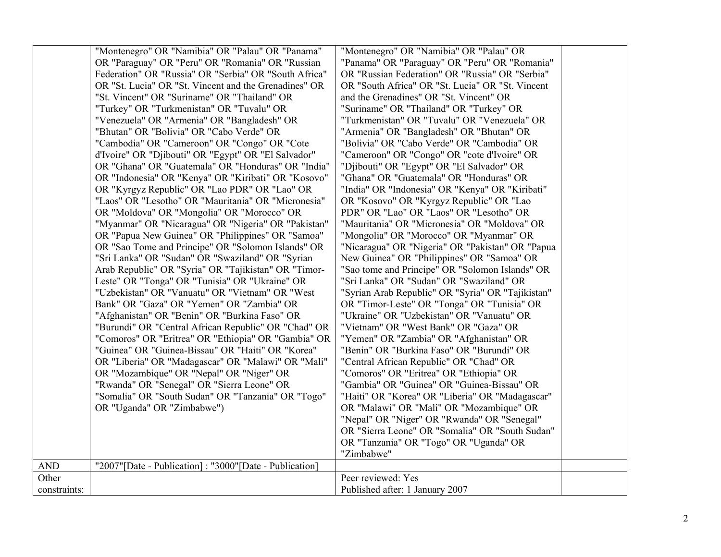|              | "Montenegro" OR "Namibia" OR "Palau" OR "Panama"         | "Montenegro" OR "Namibia" OR "Palau" OR           |  |
|--------------|----------------------------------------------------------|---------------------------------------------------|--|
|              | OR "Paraguay" OR "Peru" OR "Romania" OR "Russian         | "Panama" OR "Paraguay" OR "Peru" OR "Romania"     |  |
|              | Federation" OR "Russia" OR "Serbia" OR "South Africa"    | OR "Russian Federation" OR "Russia" OR "Serbia"   |  |
|              | OR "St. Lucia" OR "St. Vincent and the Grenadines" OR    | OR "South Africa" OR "St. Lucia" OR "St. Vincent  |  |
|              | "St. Vincent" OR "Suriname" OR "Thailand" OR             | and the Grenadines" OR "St. Vincent" OR           |  |
|              | "Turkey" OR "Turkmenistan" OR "Tuvalu" OR                | "Suriname" OR "Thailand" OR "Turkey" OR           |  |
|              | "Venezuela" OR "Armenia" OR "Bangladesh" OR              | "Turkmenistan" OR "Tuvalu" OR "Venezuela" OR      |  |
|              | "Bhutan" OR "Bolivia" OR "Cabo Verde" OR                 | "Armenia" OR "Bangladesh" OR "Bhutan" OR          |  |
|              | "Cambodia" OR "Cameroon" OR "Congo" OR "Cote             | "Bolivia" OR "Cabo Verde" OR "Cambodia" OR        |  |
|              | d'Ivoire" OR "Djibouti" OR "Egypt" OR "El Salvador"      | "Cameroon" OR "Congo" OR "cote d'Ivoire" OR       |  |
|              | OR "Ghana" OR "Guatemala" OR "Honduras" OR "India"       | "Djibouti" OR "Egypt" OR "El Salvador" OR         |  |
|              | OR "Indonesia" OR "Kenya" OR "Kiribati" OR "Kosovo"      | "Ghana" OR "Guatemala" OR "Honduras" OR           |  |
|              | OR "Kyrgyz Republic" OR "Lao PDR" OR "Lao" OR            | "India" OR "Indonesia" OR "Kenya" OR "Kiribati"   |  |
|              | "Laos" OR "Lesotho" OR "Mauritania" OR "Micronesia"      | OR "Kosovo" OR "Kyrgyz Republic" OR "Lao          |  |
|              | OR "Moldova" OR "Mongolia" OR "Morocco" OR               | PDR" OR "Lao" OR "Laos" OR "Lesotho" OR           |  |
|              | "Myanmar" OR "Nicaragua" OR "Nigeria" OR "Pakistan"      | "Mauritania" OR "Micronesia" OR "Moldova" OR      |  |
|              | OR "Papua New Guinea" OR "Philippines" OR "Samoa"        | "Mongolia" OR "Morocco" OR "Myanmar" OR           |  |
|              | OR "Sao Tome and Principe" OR "Solomon Islands" OR       | "Nicaragua" OR "Nigeria" OR "Pakistan" OR "Papua  |  |
|              | "Sri Lanka" OR "Sudan" OR "Swaziland" OR "Syrian         | New Guinea" OR "Philippines" OR "Samoa" OR        |  |
|              | Arab Republic" OR "Syria" OR "Tajikistan" OR "Timor-     | "Sao tome and Principe" OR "Solomon Islands" OR   |  |
|              | Leste" OR "Tonga" OR "Tunisia" OR "Ukraine" OR           | "Sri Lanka" OR "Sudan" OR "Swaziland" OR          |  |
|              | "Uzbekistan" OR "Vanuatu" OR "Vietnam" OR "West          | "Syrian Arab Republic" OR "Syria" OR "Tajikistan" |  |
|              | Bank" OR "Gaza" OR "Yemen" OR "Zambia" OR                | OR "Timor-Leste" OR "Tonga" OR "Tunisia" OR       |  |
|              | "Afghanistan" OR "Benin" OR "Burkina Faso" OR            | "Ukraine" OR "Uzbekistan" OR "Vanuatu" OR         |  |
|              | "Burundi" OR "Central African Republic" OR "Chad" OR     | "Vietnam" OR "West Bank" OR "Gaza" OR             |  |
|              | "Comoros" OR "Eritrea" OR "Ethiopia" OR "Gambia" OR      | "Yemen" OR "Zambia" OR "Afghanistan" OR           |  |
|              | "Guinea" OR "Guinea-Bissau" OR "Haiti" OR "Korea"        | "Benin" OR "Burkina Faso" OR "Burundi" OR         |  |
|              | OR "Liberia" OR "Madagascar" OR "Malawi" OR "Mali"       | "Central African Republic" OR "Chad" OR           |  |
|              | OR "Mozambique" OR "Nepal" OR "Niger" OR                 | "Comoros" OR "Eritrea" OR "Ethiopia" OR           |  |
|              | "Rwanda" OR "Senegal" OR "Sierra Leone" OR               | "Gambia" OR "Guinea" OR "Guinea-Bissau" OR        |  |
|              | "Somalia" OR "South Sudan" OR "Tanzania" OR "Togo"       | "Haiti" OR "Korea" OR "Liberia" OR "Madagascar"   |  |
|              | OR "Uganda" OR "Zimbabwe")                               | OR "Malawi" OR "Mali" OR "Mozambique" OR          |  |
|              |                                                          | "Nepal" OR "Niger" OR "Rwanda" OR "Senegal"       |  |
|              |                                                          | OR "Sierra Leone" OR "Somalia" OR "South Sudan"   |  |
|              |                                                          | OR "Tanzania" OR "Togo" OR "Uganda" OR            |  |
|              |                                                          | "Zimbabwe"                                        |  |
| AND          | "2007" [Date - Publication]: "3000" [Date - Publication] |                                                   |  |
| Other        |                                                          | Peer reviewed: Yes                                |  |
| constraints: |                                                          | Published after: 1 January 2007                   |  |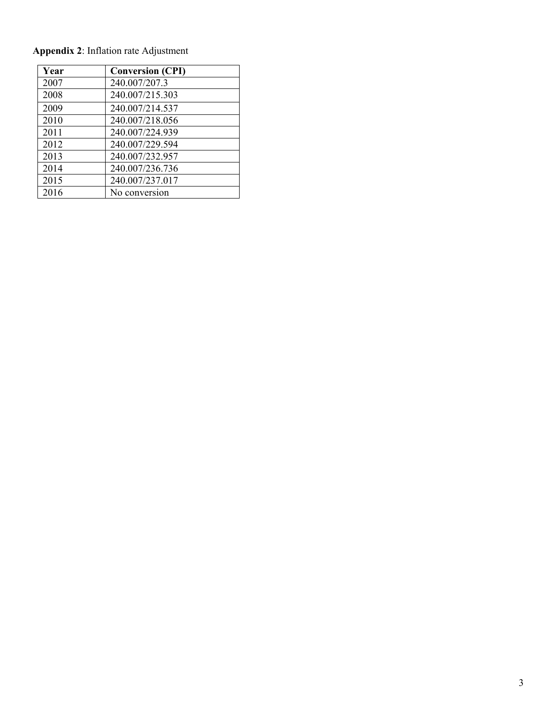| Year | <b>Conversion (CPI)</b> |
|------|-------------------------|
| 2007 | 240.007/207.3           |
| 2008 | 240.007/215.303         |
| 2009 | 240.007/214.537         |
| 2010 | 240.007/218.056         |
| 2011 | 240.007/224.939         |
| 2012 | 240.007/229.594         |
| 2013 | 240.007/232.957         |
| 2014 | 240.007/236.736         |
| 2015 | 240.007/237.017         |
| 2016 | No conversion           |

**Appendix 2**: Inflation rate Adjustment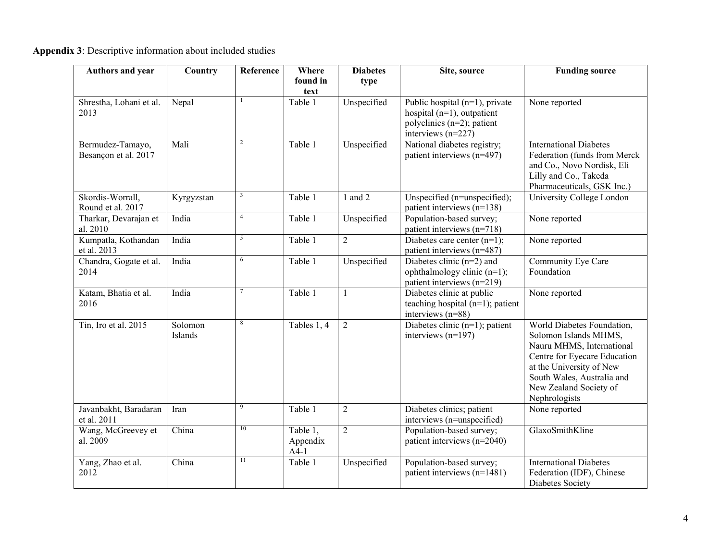|  |  | <b>Appendix 3:</b> Descriptive information about included studies |
|--|--|-------------------------------------------------------------------|
|--|--|-------------------------------------------------------------------|

| <b>Authors and year</b>                  | Country            | Reference       | Where<br>found in<br>text      | <b>Diabetes</b><br>type | Site, source                                                                                                             | <b>Funding source</b>                                                                                                                                                                                                 |
|------------------------------------------|--------------------|-----------------|--------------------------------|-------------------------|--------------------------------------------------------------------------------------------------------------------------|-----------------------------------------------------------------------------------------------------------------------------------------------------------------------------------------------------------------------|
| Shrestha, Lohani et al.<br>2013          | Nepal              |                 | Table 1                        | Unspecified             | Public hospital $(n=1)$ , private<br>hospital $(n=1)$ , outpatient<br>polyclinics (n=2); patient<br>interviews $(n=227)$ | None reported                                                                                                                                                                                                         |
| Bermudez-Tamayo,<br>Besançon et al. 2017 | Mali               | $\overline{c}$  | Table 1                        | Unspecified             | National diabetes registry;<br>patient interviews (n=497)                                                                | <b>International Diabetes</b><br>Federation (funds from Merck<br>and Co., Novo Nordisk, Eli<br>Lilly and Co., Takeda<br>Pharmaceuticals, GSK Inc.)                                                                    |
| Skordis-Worrall,<br>Round et al. 2017    | Kyrgyzstan         | $\mathfrak{Z}$  | Table 1                        | $1$ and $2$             | Unspecified (n=unspecified);<br>patient interviews $(n=138)$                                                             | University College London                                                                                                                                                                                             |
| Tharkar, Devarajan et<br>al. 2010        | India              | $\overline{4}$  | Table 1                        | Unspecified             | Population-based survey;<br>patient interviews (n=718)                                                                   | None reported                                                                                                                                                                                                         |
| Kumpatla, Kothandan<br>et al. 2013       | India              | 5               | Table 1                        | $\overline{2}$          | Diabetes care center $(n=1)$ ;<br>patient interviews (n=487)                                                             | None reported                                                                                                                                                                                                         |
| Chandra, Gogate et al.<br>2014           | India              | 6               | Table 1                        | Unspecified             | Diabetes clinic $(n=2)$ and<br>ophthalmology clinic (n=1);<br>patient interviews (n=219)                                 | Community Eye Care<br>Foundation                                                                                                                                                                                      |
| Katam, Bhatia et al.<br>2016             | India              | 7               | Table 1                        | $\mathbf{1}$            | Diabetes clinic at public<br>teaching hospital (n=1); patient<br>interviews $(n=88)$                                     | None reported                                                                                                                                                                                                         |
| Tin, Iro et al. 2015                     | Solomon<br>Islands | 8               | Tables 1, 4                    | $\boldsymbol{2}$        | Diabetes clinic $(n=1)$ ; patient<br>interviews $(n=197)$                                                                | World Diabetes Foundation,<br>Solomon Islands MHMS,<br>Nauru MHMS, International<br>Centre for Eyecare Education<br>at the University of New<br>South Wales, Australia and<br>New Zealand Society of<br>Nephrologists |
| Javanbakht, Baradaran<br>et al. 2011     | Iran               | 9               | Table 1                        | $\overline{2}$          | Diabetes clinics; patient<br>interviews (n=unspecified)                                                                  | None reported                                                                                                                                                                                                         |
| Wang, McGreevey et<br>al. 2009           | China              | 10              | Table 1,<br>Appendix<br>$A4-1$ | $\overline{2}$          | Population-based survey;<br>patient interviews (n=2040)                                                                  | GlaxoSmithKline                                                                                                                                                                                                       |
| Yang, Zhao et al.<br>2012                | China              | $\overline{11}$ | Table 1                        | Unspecified             | Population-based survey;<br>patient interviews (n=1481)                                                                  | <b>International Diabetes</b><br>Federation (IDF), Chinese<br>Diabetes Society                                                                                                                                        |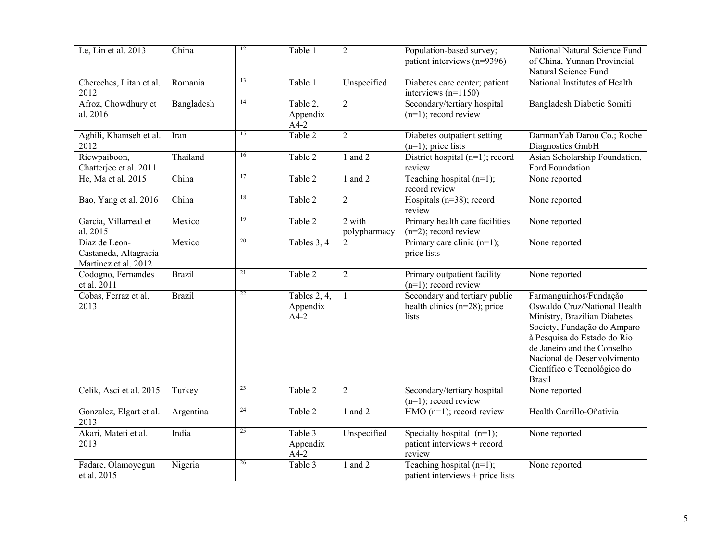| Le, Lin et al. 2013                                             | China         | 12              | Table 1                            | $\overline{2}$         | Population-based survey;<br>patient interviews (n=9396)                    | National Natural Science Fund<br>of China, Yunnan Provincial<br>Natural Science Fund                                                                                                                                                                               |
|-----------------------------------------------------------------|---------------|-----------------|------------------------------------|------------------------|----------------------------------------------------------------------------|--------------------------------------------------------------------------------------------------------------------------------------------------------------------------------------------------------------------------------------------------------------------|
| Chereches, Litan et al.<br>2012                                 | Romania       | 13              | Table 1                            | Unspecified            | Diabetes care center; patient<br>interviews $(n=1150)$                     | National Institutes of Health                                                                                                                                                                                                                                      |
| Afroz, Chowdhury et<br>al. 2016                                 | Bangladesh    | 14              | Table 2,<br>Appendix<br>$A4-2$     | $\overline{2}$         | Secondary/tertiary hospital<br>$(n=1)$ ; record review                     | Bangladesh Diabetic Somiti                                                                                                                                                                                                                                         |
| Aghili, Khamseh et al.<br>2012                                  | Iran          | $\overline{15}$ | Table 2                            | $\overline{2}$         | Diabetes outpatient setting<br>$(n=1)$ ; price lists                       | DarmanYab Darou Co.; Roche<br>Diagnostics GmbH                                                                                                                                                                                                                     |
| Riewpaiboon,<br>Chatterjee et al. 2011                          | Thailand      | 16              | Table 2                            | 1 and 2                | District hospital $(n=1)$ ; record<br>review                               | Asian Scholarship Foundation,<br>Ford Foundation                                                                                                                                                                                                                   |
| He, Ma et al. 2015                                              | China         | 17              | Table 2                            | 1 and 2                | Teaching hospital $(n=1);$<br>record review                                | None reported                                                                                                                                                                                                                                                      |
| Bao, Yang et al. 2016                                           | China         | 18              | Table 2                            | $\overline{2}$         | Hospitals ( $n=38$ ); record<br>review                                     | None reported                                                                                                                                                                                                                                                      |
| Garcia, Villarreal et<br>al. 2015                               | Mexico        | 19              | Table 2                            | 2 with<br>polypharmacy | Primary health care facilities<br>$(n=2)$ ; record review                  | None reported                                                                                                                                                                                                                                                      |
| Diaz de Leon-<br>Castaneda, Altagracia-<br>Martinez et al. 2012 | Mexico        | 20              | Tables 3, 4                        | $\overline{2}$         | Primary care clinic (n=1);<br>price lists                                  | None reported                                                                                                                                                                                                                                                      |
| Codogno, Fernandes<br>et al. 2011                               | <b>Brazil</b> | 21              | Table 2                            | $\overline{2}$         | Primary outpatient facility<br>$(n=1)$ ; record review                     | None reported                                                                                                                                                                                                                                                      |
| Cobas, Ferraz et al.<br>2013                                    | <b>Brazil</b> | 22              | Tables 2, 4,<br>Appendix<br>$A4-2$ | $\mathbf{1}$           | Secondary and tertiary public<br>health clinics ( $n=28$ ); price<br>lists | Farmanguinhos/Fundação<br>Oswaldo Cruz/National Health<br>Ministry, Brazilian Diabetes<br>Society, Fundação do Amparo<br>à Pesquisa do Estado do Rio<br>de Janeiro and the Conselho<br>Nacional de Desenvolvimento<br>Científico e Tecnológico do<br><b>Brasil</b> |
| Celik, Asci et al. 2015                                         | Turkey        | 23              | Table 2                            | $\overline{2}$         | Secondary/tertiary hospital<br>$(n=1)$ ; record review                     | None reported                                                                                                                                                                                                                                                      |
| Gonzalez, Elgart et al.<br>2013                                 | Argentina     | 24              | Table 2                            | 1 and 2                | HMO $(n=1)$ ; record review                                                | Health Carrillo-Oñativia                                                                                                                                                                                                                                           |
| Akari, Mateti et al.<br>2013                                    | India         | 25              | Table 3<br>Appendix<br>$A4-2$      | Unspecified            | Specialty hospital $(n=1)$ ;<br>patient interviews + record<br>review      | None reported                                                                                                                                                                                                                                                      |
| Fadare, Olamoyegun<br>et al. 2015                               | Nigeria       | 26              | Table 3                            | $1$ and $2$            | Teaching hospital $(n=1)$ ;<br>patient interviews + price lists            | None reported                                                                                                                                                                                                                                                      |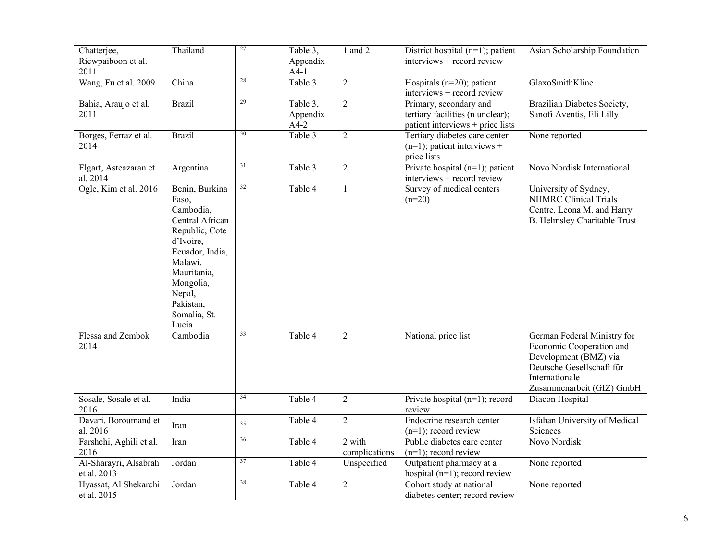| Chatterjee,<br>Riewpaiboon et al.<br>2011 | Thailand                                                                                                                                                                                         | 27 | Table 3,<br>Appendix<br>$A4-1$ | 1 and 2                 | District hospital $(n=1)$ ; patient<br>interviews + record review                              | Asian Scholarship Foundation                                                                                                                                 |
|-------------------------------------------|--------------------------------------------------------------------------------------------------------------------------------------------------------------------------------------------------|----|--------------------------------|-------------------------|------------------------------------------------------------------------------------------------|--------------------------------------------------------------------------------------------------------------------------------------------------------------|
| Wang, Fu et al. 2009                      | China                                                                                                                                                                                            | 28 | Table 3                        | $\overline{2}$          | Hospitals ( $n=20$ ); patient<br>interviews + record review                                    | GlaxoSmithKline                                                                                                                                              |
| Bahia, Araujo et al.<br>2011              | <b>Brazil</b>                                                                                                                                                                                    | 29 | Table 3,<br>Appendix<br>$A4-2$ | $\overline{2}$          | Primary, secondary and<br>tertiary facilities (n unclear);<br>patient interviews + price lists | Brazilian Diabetes Society,<br>Sanofi Aventis, Eli Lilly                                                                                                     |
| Borges, Ferraz et al.<br>2014             | <b>Brazil</b>                                                                                                                                                                                    | 30 | Table 3                        | $\overline{2}$          | Tertiary diabetes care center<br>$(n=1)$ ; patient interviews +<br>price lists                 | None reported                                                                                                                                                |
| Elgart, Asteazaran et<br>al. 2014         | Argentina                                                                                                                                                                                        | 31 | Table 3                        | $\overline{2}$          | Private hospital $(n=1)$ ; patient<br>interviews + record review                               | Novo Nordisk International                                                                                                                                   |
| Ogle, Kim et al. 2016                     | Benin, Burkina<br>Faso,<br>Cambodia,<br>Central African<br>Republic, Cote<br>d'Ivoire,<br>Ecuador, India,<br>Malawi,<br>Mauritania,<br>Mongolia,<br>Nepal,<br>Pakistan,<br>Somalia, St.<br>Lucia | 32 | Table 4                        | $\mathbf{1}$            | Survey of medical centers<br>$(n=20)$                                                          | University of Sydney,<br><b>NHMRC</b> Clinical Trials<br>Centre, Leona M. and Harry<br>B. Helmsley Charitable Trust                                          |
| Flessa and Zembok<br>2014                 | Cambodia                                                                                                                                                                                         | 33 | Table 4                        | $\overline{2}$          | National price list                                                                            | German Federal Ministry for<br>Economic Cooperation and<br>Development (BMZ) via<br>Deutsche Gesellschaft für<br>Internationale<br>Zusammenarbeit (GIZ) GmbH |
| Sosale, Sosale et al.<br>2016             | India                                                                                                                                                                                            | 34 | Table 4                        | $\sqrt{2}$              | Private hospital $(n=1)$ ; record<br>review                                                    | Diacon Hospital                                                                                                                                              |
| Davari, Boroumand et<br>al. 2016          | Iran                                                                                                                                                                                             | 35 | Table 4                        | $\overline{2}$          | Endocrine research center<br>$(n=1)$ ; record review                                           | Isfahan University of Medical<br>Sciences                                                                                                                    |
| Farshchi, Aghili et al.<br>2016           | Iran                                                                                                                                                                                             | 36 | Table 4                        | 2 with<br>complications | Public diabetes care center<br>$(n=1)$ ; record review                                         | Novo Nordisk                                                                                                                                                 |
| Al-Sharayri, Alsabrah<br>et al. 2013      | Jordan                                                                                                                                                                                           | 37 | Table 4                        | Unspecified             | Outpatient pharmacy at a<br>hospital $(n=1)$ ; record review                                   | None reported                                                                                                                                                |
| Hyassat, Al Shekarchi<br>et al. 2015      | Jordan                                                                                                                                                                                           | 38 | Table 4                        | $\overline{2}$          | Cohort study at national<br>diabetes center; record review                                     | None reported                                                                                                                                                |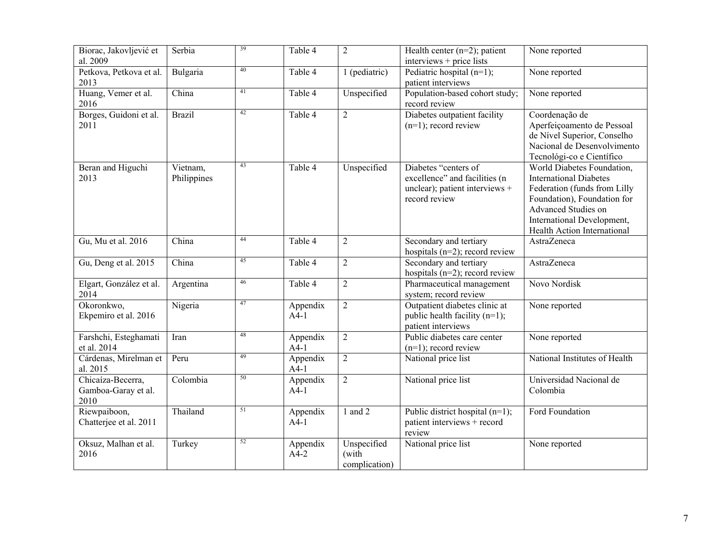| Biorac, Jakovljević et<br>al. 2009               | Serbia                  | 39 | Table 4            | $\overline{2}$                        | Health center $(n=2)$ ; patient<br>interviews + price lists                                              | None reported                                                                                                                                                                                                  |
|--------------------------------------------------|-------------------------|----|--------------------|---------------------------------------|----------------------------------------------------------------------------------------------------------|----------------------------------------------------------------------------------------------------------------------------------------------------------------------------------------------------------------|
| Petkova, Petkova et al.<br>2013                  | Bulgaria                | 40 | Table 4            | 1 (pediatric)                         | Pediatric hospital $(n=1)$ ;<br>patient interviews                                                       | None reported                                                                                                                                                                                                  |
| Huang, Vemer et al.<br>2016                      | China                   | 41 | Table 4            | Unspecified                           | Population-based cohort study;<br>record review                                                          | None reported                                                                                                                                                                                                  |
| Borges, Guidoni et al.<br>2011                   | <b>Brazil</b>           | 42 | Table 4            | $\overline{2}$                        | Diabetes outpatient facility<br>$(n=1)$ ; record review                                                  | Coordenação de<br>Aperfeiçoamento de Pessoal<br>de Nível Superior, Conselho<br>Nacional de Desenvolvimento<br>Tecnológi-co e Científico                                                                        |
| Beran and Higuchi<br>2013                        | Vietnam,<br>Philippines | 43 | Table 4            | Unspecified                           | Diabetes "centers of<br>excellence" and facilities (n<br>unclear); patient interviews +<br>record review | World Diabetes Foundation,<br><b>International Diabetes</b><br>Federation (funds from Lilly<br>Foundation), Foundation for<br>Advanced Studies on<br>International Development,<br>Health Action International |
| Gu, Mu et al. 2016                               | China                   | 44 | Table 4            | $\overline{2}$                        | Secondary and tertiary<br>hospitals ( $n=2$ ); record review                                             | AstraZeneca                                                                                                                                                                                                    |
| Gu, Deng et al. 2015                             | China                   | 45 | Table 4            | $\overline{2}$                        | Secondary and tertiary<br>hospitals ( $n=2$ ); record review                                             | AstraZeneca                                                                                                                                                                                                    |
| Elgart, González et al.<br>2014                  | Argentina               | 46 | Table 4            | $\overline{2}$                        | Pharmaceutical management<br>system; record review                                                       | Novo Nordisk                                                                                                                                                                                                   |
| Okoronkwo,<br>Ekpemiro et al. 2016               | Nigeria                 | 47 | Appendix<br>$A4-1$ | $\overline{2}$                        | Outpatient diabetes clinic at<br>public health facility $(n=1)$ ;<br>patient interviews                  | None reported                                                                                                                                                                                                  |
| Farshchi, Esteghamati<br>et al. 2014             | Iran                    | 48 | Appendix<br>$A4-1$ | $\overline{2}$                        | Public diabetes care center<br>$(n=1)$ ; record review                                                   | None reported                                                                                                                                                                                                  |
| Cárdenas, Mirelman et<br>al. 2015                | Peru                    | 49 | Appendix<br>$A4-1$ | $\overline{2}$                        | National price list                                                                                      | National Institutes of Health                                                                                                                                                                                  |
| Chicaíza-Becerra,<br>Gamboa-Garay et al.<br>2010 | Colombia                | 50 | Appendix<br>$A4-1$ | $\overline{2}$                        | National price list                                                                                      | Universidad Nacional de<br>Colombia                                                                                                                                                                            |
| Riewpaiboon,<br>Chatterjee et al. 2011           | Thailand                | 51 | Appendix<br>$A4-1$ | $1$ and $2$                           | Public district hospital $(n=1)$ ;<br>patient interviews + record<br>review                              | Ford Foundation                                                                                                                                                                                                |
| Oksuz, Malhan et al.<br>2016                     | Turkey                  | 52 | Appendix<br>$A4-2$ | Unspecified<br>(with<br>complication) | National price list                                                                                      | None reported                                                                                                                                                                                                  |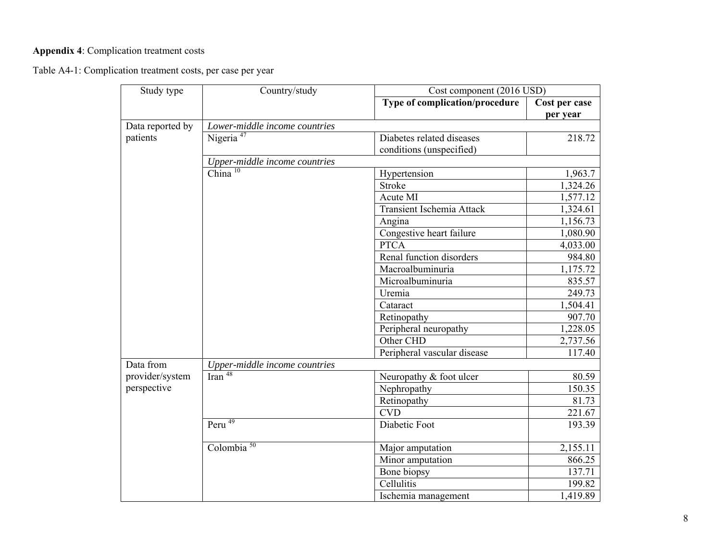## **Appendix 4**: Complication treatment costs

Table A4-1: Complication treatment costs, per case per year

| Study type       | Country/study                                              | Cost component (2016 USD)      |                           |
|------------------|------------------------------------------------------------|--------------------------------|---------------------------|
|                  |                                                            | Type of complication/procedure | Cost per case<br>per year |
| Data reported by | Lower-middle income countries                              |                                |                           |
| patients         | Nigeria <sup>47</sup>                                      | Diabetes related diseases      | 218.72                    |
|                  |                                                            | conditions (unspecified)       |                           |
|                  | Upper-middle income countries                              |                                |                           |
|                  | $China$ <sup>10</sup>                                      | Hypertension                   | 1,963.7                   |
|                  |                                                            | <b>Stroke</b>                  | 1,324.26                  |
|                  |                                                            | Acute MI                       | 1,577.12                  |
|                  |                                                            | Transient Ischemia Attack      | 1,324.61                  |
|                  |                                                            | Angina                         | 1,156.73                  |
|                  |                                                            | Congestive heart failure       | 1,080.90                  |
|                  |                                                            | <b>PTCA</b>                    | 4,033.00                  |
|                  |                                                            | Renal function disorders       | 984.80                    |
|                  |                                                            | Macroalbuminuria               | 1,175.72                  |
|                  |                                                            | Microalbuminuria               | 835.57                    |
|                  |                                                            | Uremia                         | 249.73                    |
|                  |                                                            | Cataract                       | 1,504.41                  |
|                  |                                                            | Retinopathy                    | 907.70                    |
|                  |                                                            | Peripheral neuropathy          | 1,228.05                  |
|                  |                                                            | Other CHD                      | 2,737.56                  |
|                  |                                                            | Peripheral vascular disease    | 117.40                    |
| Data from        | $\frac{Upper-middle\ income\ countries}{\text{Iran}^{48}}$ |                                |                           |
| provider/system  |                                                            | Neuropathy & foot ulcer        | 80.59                     |
| perspective      |                                                            | Nephropathy                    | 150.35                    |
|                  |                                                            | Retinopathy                    | 81.73                     |
|                  |                                                            | <b>CVD</b>                     | 221.67                    |
|                  | Peru <sup>49</sup>                                         | Diabetic Foot                  | 193.39                    |
|                  | Colombia $50$                                              | Major amputation               | 2,155.11                  |
|                  |                                                            | Minor amputation               | 866.25                    |
|                  |                                                            | Bone biopsy                    | 137.71                    |
|                  |                                                            | Cellulitis                     | 199.82                    |
|                  |                                                            | Ischemia management            | 1,419.89                  |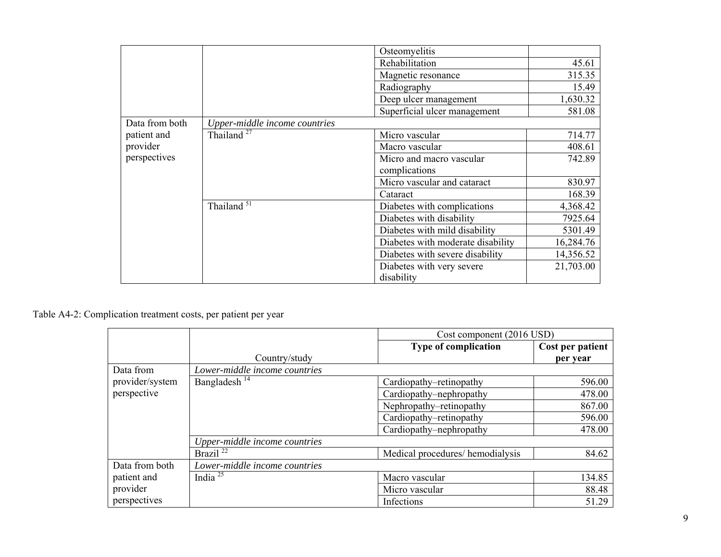|                |                               | Osteomyelitis                     |           |
|----------------|-------------------------------|-----------------------------------|-----------|
|                |                               | Rehabilitation                    | 45.61     |
|                |                               | Magnetic resonance                | 315.35    |
|                |                               | Radiography                       | 15.49     |
|                |                               | Deep ulcer management             | 1,630.32  |
|                |                               | Superficial ulcer management      | 581.08    |
| Data from both | Upper-middle income countries |                                   |           |
| patient and    | Thailand <sup>27</sup>        | Micro vascular                    | 714.77    |
| provider       |                               | Macro vascular                    | 408.61    |
| perspectives   |                               | Micro and macro vascular          | 742.89    |
|                |                               | complications                     |           |
|                |                               | Micro vascular and cataract       | 830.97    |
|                |                               | Cataract                          | 168.39    |
|                | Thailand $\overline{51}$      | Diabetes with complications       | 4,368.42  |
|                |                               | Diabetes with disability          | 7925.64   |
|                |                               | Diabetes with mild disability     | 5301.49   |
|                |                               | Diabetes with moderate disability | 16,284.76 |
|                |                               | Diabetes with severe disability   | 14,356.52 |
|                |                               | Diabetes with very severe         | 21,703.00 |
|                |                               | disability                        |           |

## Table A4-2: Complication treatment costs, per patient per year

|                 |                               | Cost component (2016 USD)       |                  |  |
|-----------------|-------------------------------|---------------------------------|------------------|--|
|                 |                               | Type of complication            | Cost per patient |  |
|                 | Country/study                 |                                 | per year         |  |
| Data from       | Lower-middle income countries |                                 |                  |  |
| provider/system | Bangladesh <sup>14</sup>      | Cardiopathy–retinopathy         | 596.00           |  |
| perspective     |                               | Cardiopathy-nephropathy         | 478.00           |  |
|                 |                               | Nephropathy-retinopathy         | 867.00           |  |
|                 |                               | Cardiopathy-retinopathy         | 596.00           |  |
|                 |                               | Cardiopathy–nephropathy         | 478.00           |  |
|                 | Upper-middle income countries |                                 |                  |  |
|                 | Brazil $^{22}$                | Medical procedures/hemodialysis | 84.62            |  |
| Data from both  | Lower-middle income countries |                                 |                  |  |
| patient and     | India $^{25}$                 | Macro vascular                  | 134.85           |  |
| provider        |                               | Micro vascular                  | 88.48            |  |
| perspectives    |                               | Infections                      | 51.29            |  |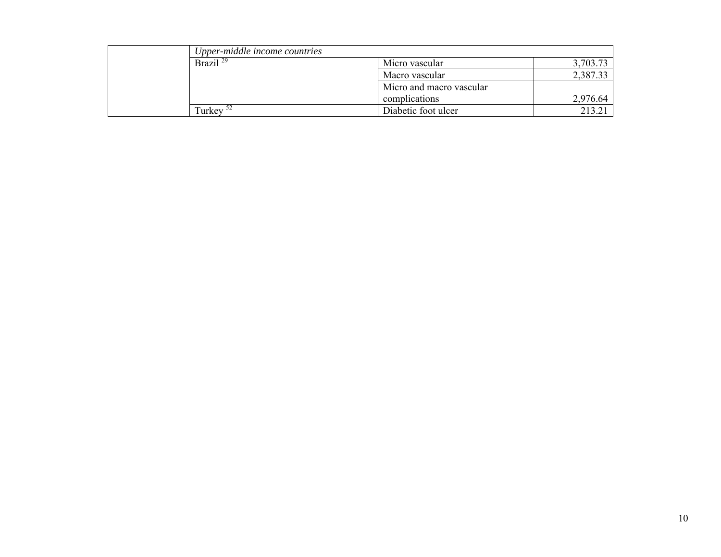| Upper-middle income countries |                          |          |
|-------------------------------|--------------------------|----------|
| Brazil <sup>29</sup>          | Micro vascular           | 3,703.73 |
|                               | Macro vascular           | 2,387.33 |
|                               | Micro and macro vascular |          |
|                               | complications            | 2,976.64 |
| Turkey <sup>52</sup>          | Diabetic foot ulcer      |          |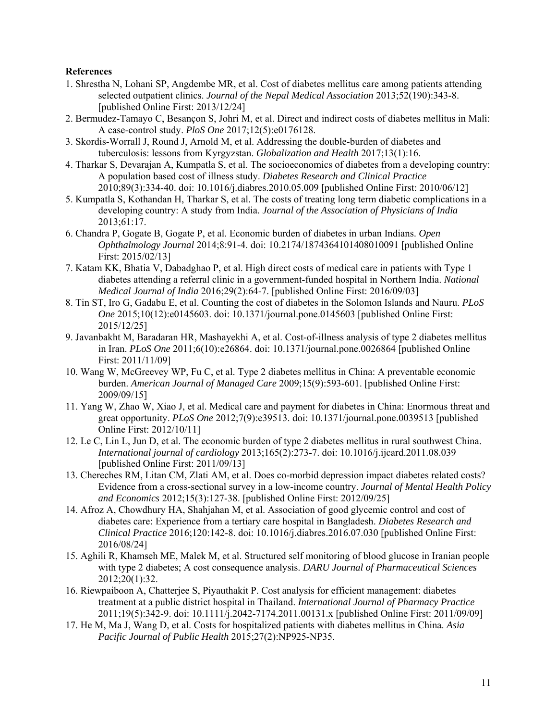## **References**

- 1. Shrestha N, Lohani SP, Angdembe MR, et al. Cost of diabetes mellitus care among patients attending selected outpatient clinics. *Journal of the Nepal Medical Association* 2013;52(190):343-8. [published Online First: 2013/12/24]
- 2. Bermudez-Tamayo C, Besançon S, Johri M, et al. Direct and indirect costs of diabetes mellitus in Mali: A case-control study. *PloS One* 2017;12(5):e0176128.
- 3. Skordis-Worrall J, Round J, Arnold M, et al. Addressing the double-burden of diabetes and tuberculosis: lessons from Kyrgyzstan. *Globalization and Health* 2017;13(1):16.
- 4. Tharkar S, Devarajan A, Kumpatla S, et al. The socioeconomics of diabetes from a developing country: A population based cost of illness study. *Diabetes Research and Clinical Practice* 2010;89(3):334-40. doi: 10.1016/j.diabres.2010.05.009 [published Online First: 2010/06/12]
- 5. Kumpatla S, Kothandan H, Tharkar S, et al. The costs of treating long term diabetic complications in a developing country: A study from India. *Journal of the Association of Physicians of India* 2013;61:17.
- 6. Chandra P, Gogate B, Gogate P, et al. Economic burden of diabetes in urban Indians. *Open Ophthalmology Journal* 2014;8:91-4. doi: 10.2174/1874364101408010091 [published Online First: 2015/02/13]
- 7. Katam KK, Bhatia V, Dabadghao P, et al. High direct costs of medical care in patients with Type 1 diabetes attending a referral clinic in a government-funded hospital in Northern India. *National Medical Journal of India* 2016;29(2):64-7. [published Online First: 2016/09/03]
- 8. Tin ST, Iro G, Gadabu E, et al. Counting the cost of diabetes in the Solomon Islands and Nauru. *PLoS One* 2015;10(12):e0145603. doi: 10.1371/journal.pone.0145603 [published Online First: 2015/12/25]
- 9. Javanbakht M, Baradaran HR, Mashayekhi A, et al. Cost-of-illness analysis of type 2 diabetes mellitus in Iran. *PLoS One* 2011;6(10):e26864. doi: 10.1371/journal.pone.0026864 [published Online First: 2011/11/09]
- 10. Wang W, McGreevey WP, Fu C, et al. Type 2 diabetes mellitus in China: A preventable economic burden. *American Journal of Managed Care* 2009;15(9):593-601. [published Online First: 2009/09/15]
- 11. Yang W, Zhao W, Xiao J, et al. Medical care and payment for diabetes in China: Enormous threat and great opportunity. *PLoS One* 2012;7(9):e39513. doi: 10.1371/journal.pone.0039513 [published Online First: 2012/10/11]
- 12. Le C, Lin L, Jun D, et al. The economic burden of type 2 diabetes mellitus in rural southwest China. *International journal of cardiology* 2013;165(2):273-7. doi: 10.1016/j.ijcard.2011.08.039 [published Online First: 2011/09/13]
- 13. Chereches RM, Litan CM, Zlati AM, et al. Does co-morbid depression impact diabetes related costs? Evidence from a cross-sectional survey in a low-income country. *Journal of Mental Health Policy and Economics* 2012;15(3):127-38. [published Online First: 2012/09/25]
- 14. Afroz A, Chowdhury HA, Shahjahan M, et al. Association of good glycemic control and cost of diabetes care: Experience from a tertiary care hospital in Bangladesh. *Diabetes Research and Clinical Practice* 2016;120:142-8. doi: 10.1016/j.diabres.2016.07.030 [published Online First: 2016/08/24]
- 15. Aghili R, Khamseh ME, Malek M, et al. Structured self monitoring of blood glucose in Iranian people with type 2 diabetes; A cost consequence analysis. *DARU Journal of Pharmaceutical Sciences* 2012;20(1):32.
- 16. Riewpaiboon A, Chatterjee S, Piyauthakit P. Cost analysis for efficient management: diabetes treatment at a public district hospital in Thailand. *International Journal of Pharmacy Practice* 2011;19(5):342-9. doi: 10.1111/j.2042-7174.2011.00131.x [published Online First: 2011/09/09]
- 17. He M, Ma J, Wang D, et al. Costs for hospitalized patients with diabetes mellitus in China. *Asia Pacific Journal of Public Health* 2015;27(2):NP925-NP35.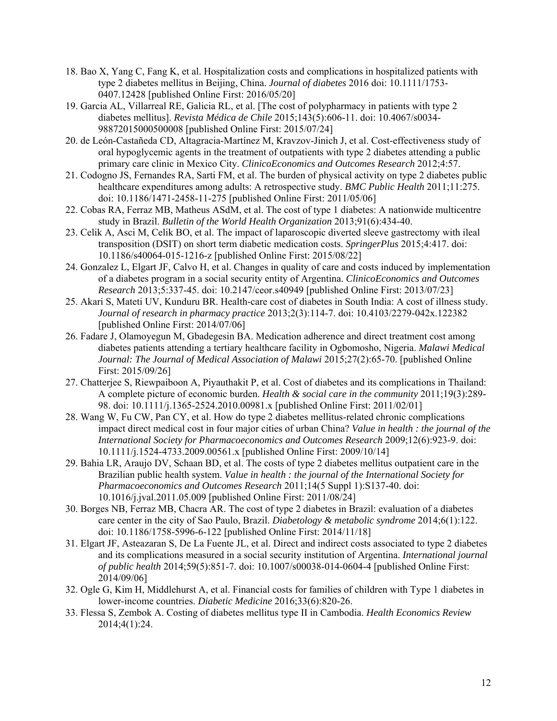- 18. Bao X, Yang C, Fang K, et al. Hospitalization costs and complications in hospitalized patients with type 2 diabetes mellitus in Beijing, China. *Journal of diabetes* 2016 doi: 10.1111/1753- 0407.12428 [published Online First: 2016/05/20]
- 19. Garcia AL, Villarreal RE, Galicia RL, et al. [The cost of polypharmacy in patients with type 2 diabetes mellitus]. *Revista Médica de Chile* 2015;143(5):606-11. doi: 10.4067/s0034- 98872015000500008 [published Online First: 2015/07/24]
- 20. de León-Castañeda CD, Altagracia-Martínez M, Kravzov-Jinich J, et al. Cost-effectiveness study of oral hypoglycemic agents in the treatment of outpatients with type 2 diabetes attending a public primary care clinic in Mexico City. *ClinicoEconomics and Outcomes Research* 2012;4:57.
- 21. Codogno JS, Fernandes RA, Sarti FM, et al. The burden of physical activity on type 2 diabetes public healthcare expenditures among adults: A retrospective study. *BMC Public Health* 2011;11:275. doi: 10.1186/1471-2458-11-275 [published Online First: 2011/05/06]
- 22. Cobas RA, Ferraz MB, Matheus ASdM, et al. The cost of type 1 diabetes: A nationwide multicentre study in Brazil. *Bulletin of the World Health Organization* 2013;91(6):434-40.
- 23. Celik A, Asci M, Celik BO, et al. The impact of laparoscopic diverted sleeve gastrectomy with ileal transposition (DSIT) on short term diabetic medication costs. *SpringerPlus* 2015;4:417. doi: 10.1186/s40064-015-1216-z [published Online First: 2015/08/22]
- 24. Gonzalez L, Elgart JF, Calvo H, et al. Changes in quality of care and costs induced by implementation of a diabetes program in a social security entity of Argentina. *ClinicoEconomics and Outcomes Research* 2013;5:337-45. doi: 10.2147/ceor.s40949 [published Online First: 2013/07/23]
- 25. Akari S, Mateti UV, Kunduru BR. Health-care cost of diabetes in South India: A cost of illness study. *Journal of research in pharmacy practice* 2013;2(3):114-7. doi: 10.4103/2279-042x.122382 [published Online First: 2014/07/06]
- 26. Fadare J, Olamoyegun M, Gbadegesin BA. Medication adherence and direct treatment cost among diabetes patients attending a tertiary healthcare facility in Ogbomosho, Nigeria. *Malawi Medical Journal: The Journal of Medical Association of Malawi* 2015;27(2):65-70. [published Online First: 2015/09/26]
- 27. Chatterjee S, Riewpaiboon A, Piyauthakit P, et al. Cost of diabetes and its complications in Thailand: A complete picture of economic burden. *Health & social care in the community* 2011;19(3):289- 98. doi: 10.1111/j.1365-2524.2010.00981.x [published Online First: 2011/02/01]
- 28. Wang W, Fu CW, Pan CY, et al. How do type 2 diabetes mellitus-related chronic complications impact direct medical cost in four major cities of urban China? *Value in health : the journal of the International Society for Pharmacoeconomics and Outcomes Research* 2009;12(6):923-9. doi: 10.1111/j.1524-4733.2009.00561.x [published Online First: 2009/10/14]
- 29. Bahia LR, Araujo DV, Schaan BD, et al. The costs of type 2 diabetes mellitus outpatient care in the Brazilian public health system. *Value in health : the journal of the International Society for Pharmacoeconomics and Outcomes Research* 2011;14(5 Suppl 1):S137-40. doi: 10.1016/j.jval.2011.05.009 [published Online First: 2011/08/24]
- 30. Borges NB, Ferraz MB, Chacra AR. The cost of type 2 diabetes in Brazil: evaluation of a diabetes care center in the city of Sao Paulo, Brazil. *Diabetology & metabolic syndrome* 2014;6(1):122. doi: 10.1186/1758-5996-6-122 [published Online First: 2014/11/18]
- 31. Elgart JF, Asteazaran S, De La Fuente JL, et al. Direct and indirect costs associated to type 2 diabetes and its complications measured in a social security institution of Argentina. *International journal of public health* 2014;59(5):851-7. doi: 10.1007/s00038-014-0604-4 [published Online First: 2014/09/06]
- 32. Ogle G, Kim H, Middlehurst A, et al. Financial costs for families of children with Type 1 diabetes in lower‐income countries. *Diabetic Medicine* 2016;33(6):820-26.
- 33. Flessa S, Zembok A. Costing of diabetes mellitus type II in Cambodia. *Health Economics Review* 2014;4(1):24.